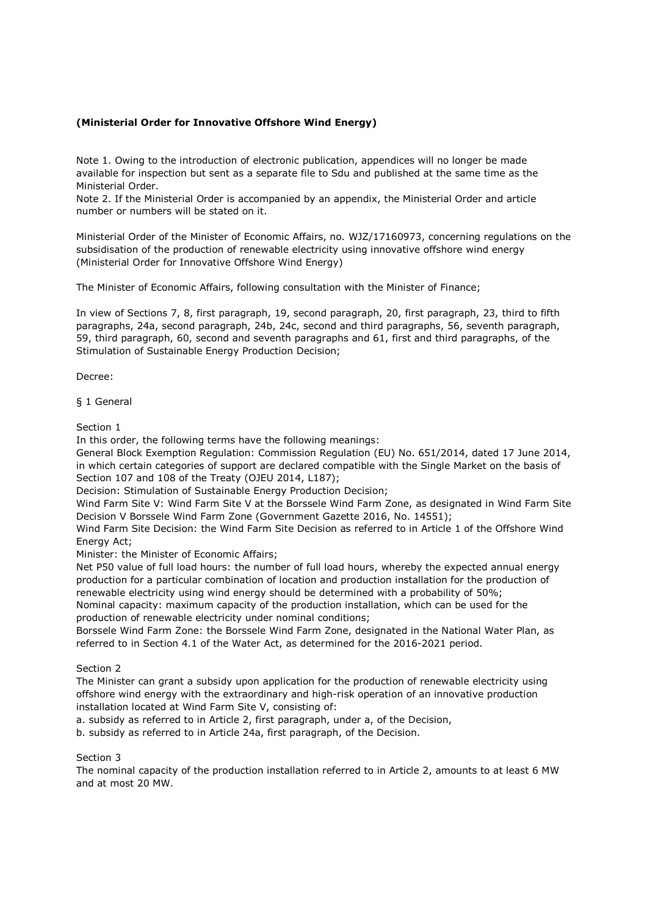# **(Ministerial Order for Innovative Offshore Wind Energy)**

Note 1. Owing to the introduction of electronic publication, appendices will no longer be made available for inspection but sent as a separate file to Sdu and published at the same time as the Ministerial Order.

Note 2. If the Ministerial Order is accompanied by an appendix, the Ministerial Order and article number or numbers will be stated on it.

Ministerial Order of the Minister of Economic Affairs, no. WJZ/17160973, concerning regulations on the subsidisation of the production of renewable electricity using innovative offshore wind energy (Ministerial Order for Innovative Offshore Wind Energy)

The Minister of Economic Affairs, following consultation with the Minister of Finance;

In view of Sections 7, 8, first paragraph, 19, second paragraph, 20, first paragraph, 23, third to fifth paragraphs, 24a, second paragraph, 24b, 24c, second and third paragraphs, 56, seventh paragraph, 59, third paragraph, 60, second and seventh paragraphs and 61, first and third paragraphs, of the Stimulation of Sustainable Energy Production Decision;

Decree:

§ 1 General

Section 1

In this order, the following terms have the following meanings:

General Block Exemption Regulation: Commission Regulation (EU) No. 651/2014, dated 17 June 2014, in which certain categories of support are declared compatible with the Single Market on the basis of Section 107 and 108 of the Treaty (OJEU 2014, L187);

Decision: Stimulation of Sustainable Energy Production Decision;

Wind Farm Site V: Wind Farm Site V at the Borssele Wind Farm Zone, as designated in Wind Farm Site Decision V Borssele Wind Farm Zone (Government Gazette 2016, No. 14551);

Wind Farm Site Decision: the Wind Farm Site Decision as referred to in Article 1 of the Offshore Wind Energy Act;

Minister: the Minister of Economic Affairs;

Net P50 value of full load hours: the number of full load hours, whereby the expected annual energy production for a particular combination of location and production installation for the production of renewable electricity using wind energy should be determined with a probability of 50%; Nominal capacity: maximum capacity of the production installation, which can be used for the

production of renewable electricity under nominal conditions;

Borssele Wind Farm Zone: the Borssele Wind Farm Zone, designated in the National Water Plan, as referred to in Section 4.1 of the Water Act, as determined for the 2016-2021 period.

Section 2

The Minister can grant a subsidy upon application for the production of renewable electricity using offshore wind energy with the extraordinary and high-risk operation of an innovative production installation located at Wind Farm Site V, consisting of:

a. subsidy as referred to in Article 2, first paragraph, under a, of the Decision,

b. subsidy as referred to in Article 24a, first paragraph, of the Decision.

Section 3

The nominal capacity of the production installation referred to in Article 2, amounts to at least 6 MW and at most 20 MW.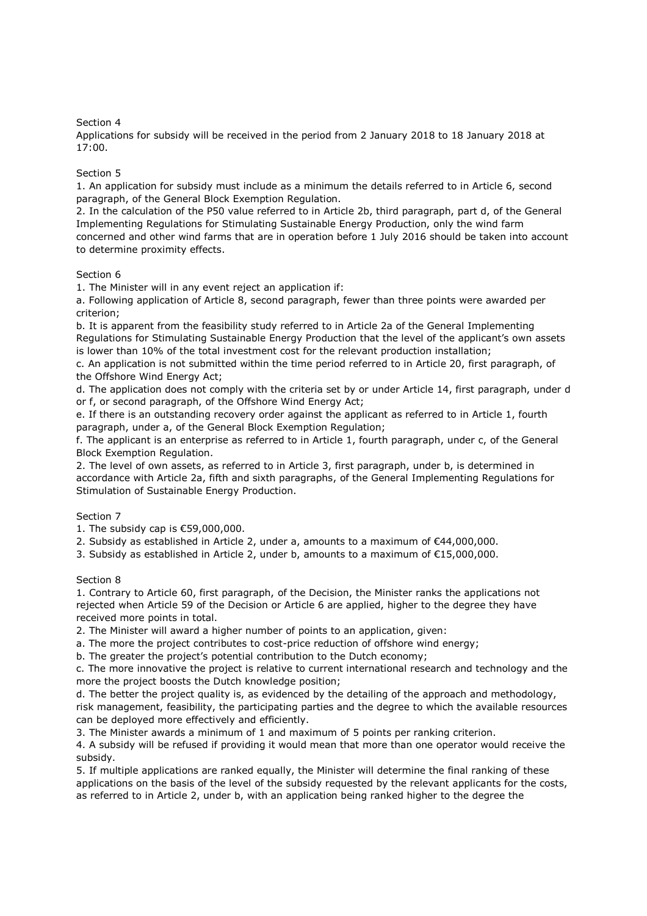# Section 4

Applications for subsidy will be received in the period from 2 January 2018 to 18 January 2018 at 17:00.

## Section 5

1. An application for subsidy must include as a minimum the details referred to in Article 6, second paragraph, of the General Block Exemption Regulation.

2. In the calculation of the P50 value referred to in Article 2b, third paragraph, part d, of the General Implementing Regulations for Stimulating Sustainable Energy Production, only the wind farm concerned and other wind farms that are in operation before 1 July 2016 should be taken into account to determine proximity effects.

# Section 6

1. The Minister will in any event reject an application if:

a. Following application of Article 8, second paragraph, fewer than three points were awarded per criterion;

b. It is apparent from the feasibility study referred to in Article 2a of the General Implementing Regulations for Stimulating Sustainable Energy Production that the level of the applicant's own assets is lower than 10% of the total investment cost for the relevant production installation;

c. An application is not submitted within the time period referred to in Article 20, first paragraph, of the Offshore Wind Energy Act;

d. The application does not comply with the criteria set by or under Article 14, first paragraph, under d or f, or second paragraph, of the Offshore Wind Energy Act;

e. If there is an outstanding recovery order against the applicant as referred to in Article 1, fourth paragraph, under a, of the General Block Exemption Regulation;

f. The applicant is an enterprise as referred to in Article 1, fourth paragraph, under c, of the General Block Exemption Regulation.

2. The level of own assets, as referred to in Article 3, first paragraph, under b, is determined in accordance with Article 2a, fifth and sixth paragraphs, of the General Implementing Regulations for Stimulation of Sustainable Energy Production.

# Section 7

1. The subsidy cap is €59,000,000.

2. Subsidy as established in Article 2, under a, amounts to a maximum of €44,000,000.

3. Subsidy as established in Article 2, under b, amounts to a maximum of €15,000,000.

### Section 8

1. Contrary to Article 60, first paragraph, of the Decision, the Minister ranks the applications not rejected when Article 59 of the Decision or Article 6 are applied, higher to the degree they have received more points in total.

2. The Minister will award a higher number of points to an application, given:

a. The more the project contributes to cost-price reduction of offshore wind energy;

b. The greater the project's potential contribution to the Dutch economy;

c. The more innovative the project is relative to current international research and technology and the more the project boosts the Dutch knowledge position;

d. The better the project quality is, as evidenced by the detailing of the approach and methodology, risk management, feasibility, the participating parties and the degree to which the available resources can be deployed more effectively and efficiently.

3. The Minister awards a minimum of 1 and maximum of 5 points per ranking criterion.

4. A subsidy will be refused if providing it would mean that more than one operator would receive the subsidy.

5. If multiple applications are ranked equally, the Minister will determine the final ranking of these applications on the basis of the level of the subsidy requested by the relevant applicants for the costs, as referred to in Article 2, under b, with an application being ranked higher to the degree the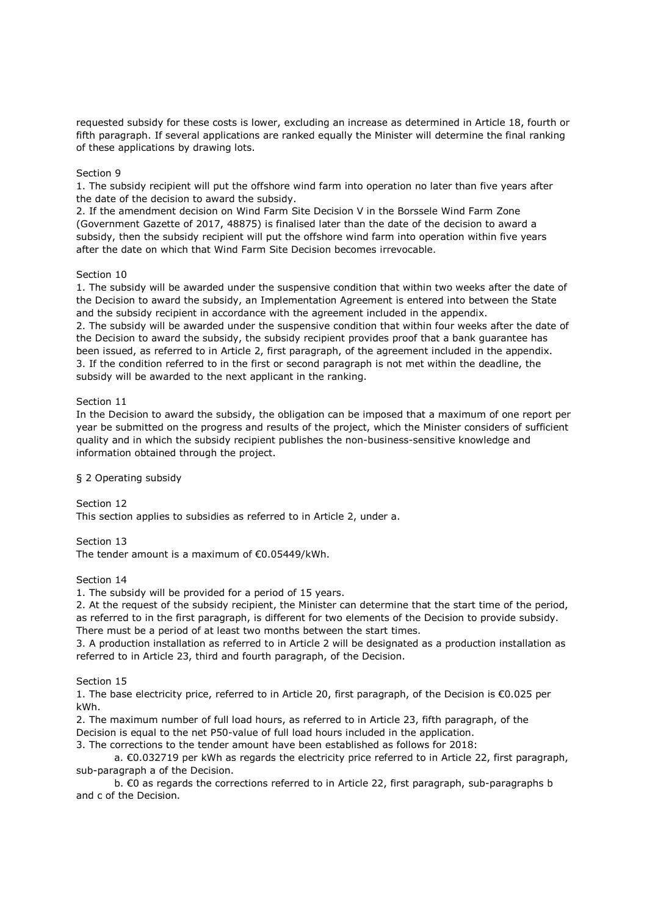requested subsidy for these costs is lower, excluding an increase as determined in Article 18, fourth or fifth paragraph. If several applications are ranked equally the Minister will determine the final ranking of these applications by drawing lots.

# Section 9

1. The subsidy recipient will put the offshore wind farm into operation no later than five years after the date of the decision to award the subsidy.

2. If the amendment decision on Wind Farm Site Decision V in the Borssele Wind Farm Zone (Government Gazette of 2017, 48875) is finalised later than the date of the decision to award a subsidy, then the subsidy recipient will put the offshore wind farm into operation within five years after the date on which that Wind Farm Site Decision becomes irrevocable.

### Section 10

1. The subsidy will be awarded under the suspensive condition that within two weeks after the date of the Decision to award the subsidy, an Implementation Agreement is entered into between the State and the subsidy recipient in accordance with the agreement included in the appendix. 2. The subsidy will be awarded under the suspensive condition that within four weeks after the date of the Decision to award the subsidy, the subsidy recipient provides proof that a bank guarantee has been issued, as referred to in Article 2, first paragraph, of the agreement included in the appendix. 3. If the condition referred to in the first or second paragraph is not met within the deadline, the subsidy will be awarded to the next applicant in the ranking.

# Section 11

In the Decision to award the subsidy, the obligation can be imposed that a maximum of one report per year be submitted on the progress and results of the project, which the Minister considers of sufficient quality and in which the subsidy recipient publishes the non-business-sensitive knowledge and information obtained through the project.

### § 2 Operating subsidy

Section 12 This section applies to subsidies as referred to in Article 2, under a.

Section 13 The tender amount is a maximum of €0.05449/kWh.

Section 14

1. The subsidy will be provided for a period of 15 years.

2. At the request of the subsidy recipient, the Minister can determine that the start time of the period, as referred to in the first paragraph, is different for two elements of the Decision to provide subsidy.

There must be a period of at least two months between the start times.

3. A production installation as referred to in Article 2 will be designated as a production installation as referred to in Article 23, third and fourth paragraph, of the Decision.

Section 15

1. The base electricity price, referred to in Article 20, first paragraph, of the Decision is €0.025 per kWh.

2. The maximum number of full load hours, as referred to in Article 23, fifth paragraph, of the Decision is equal to the net P50-value of full load hours included in the application.

3. The corrections to the tender amount have been established as follows for 2018:

a. €0.032719 per kWh as regards the electricity price referred to in Article 22, first paragraph, sub-paragraph a of the Decision.

b. €0 as regards the corrections referred to in Article 22, first paragraph, sub-paragraphs b and c of the Decision.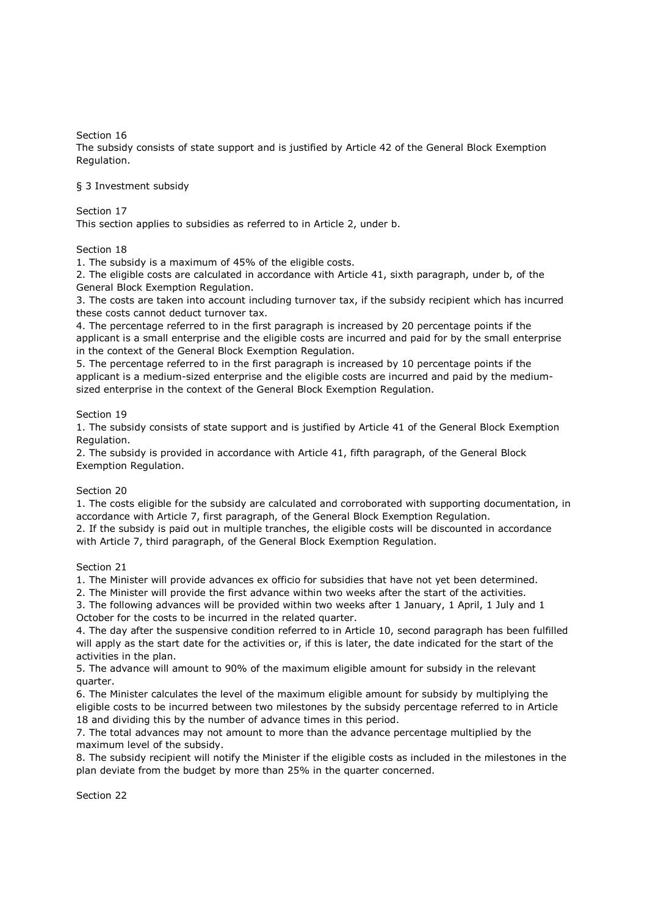Section 16

The subsidy consists of state support and is justified by Article 42 of the General Block Exemption Regulation.

# § 3 Investment subsidy

Section 17

This section applies to subsidies as referred to in Article 2, under b.

# Section 18

1. The subsidy is a maximum of 45% of the eligible costs.

2. The eligible costs are calculated in accordance with Article 41, sixth paragraph, under b, of the General Block Exemption Regulation.

3. The costs are taken into account including turnover tax, if the subsidy recipient which has incurred these costs cannot deduct turnover tax.

4. The percentage referred to in the first paragraph is increased by 20 percentage points if the applicant is a small enterprise and the eligible costs are incurred and paid for by the small enterprise in the context of the General Block Exemption Regulation.

5. The percentage referred to in the first paragraph is increased by 10 percentage points if the applicant is a medium-sized enterprise and the eligible costs are incurred and paid by the mediumsized enterprise in the context of the General Block Exemption Regulation.

# Section 19

1. The subsidy consists of state support and is justified by Article 41 of the General Block Exemption Regulation.

2. The subsidy is provided in accordance with Article 41, fifth paragraph, of the General Block Exemption Regulation.

# Section 20

1. The costs eligible for the subsidy are calculated and corroborated with supporting documentation, in accordance with Article 7, first paragraph, of the General Block Exemption Regulation.

2. If the subsidy is paid out in multiple tranches, the eligible costs will be discounted in accordance with Article 7, third paragraph, of the General Block Exemption Regulation.

Section 21

1. The Minister will provide advances ex officio for subsidies that have not yet been determined.

2. The Minister will provide the first advance within two weeks after the start of the activities.

3. The following advances will be provided within two weeks after 1 January, 1 April, 1 July and 1 October for the costs to be incurred in the related quarter.

4. The day after the suspensive condition referred to in Article 10, second paragraph has been fulfilled will apply as the start date for the activities or, if this is later, the date indicated for the start of the activities in the plan.

5. The advance will amount to 90% of the maximum eligible amount for subsidy in the relevant quarter.

6. The Minister calculates the level of the maximum eligible amount for subsidy by multiplying the eligible costs to be incurred between two milestones by the subsidy percentage referred to in Article 18 and dividing this by the number of advance times in this period.

7. The total advances may not amount to more than the advance percentage multiplied by the maximum level of the subsidy.

8. The subsidy recipient will notify the Minister if the eligible costs as included in the milestones in the plan deviate from the budget by more than 25% in the quarter concerned.

Section 22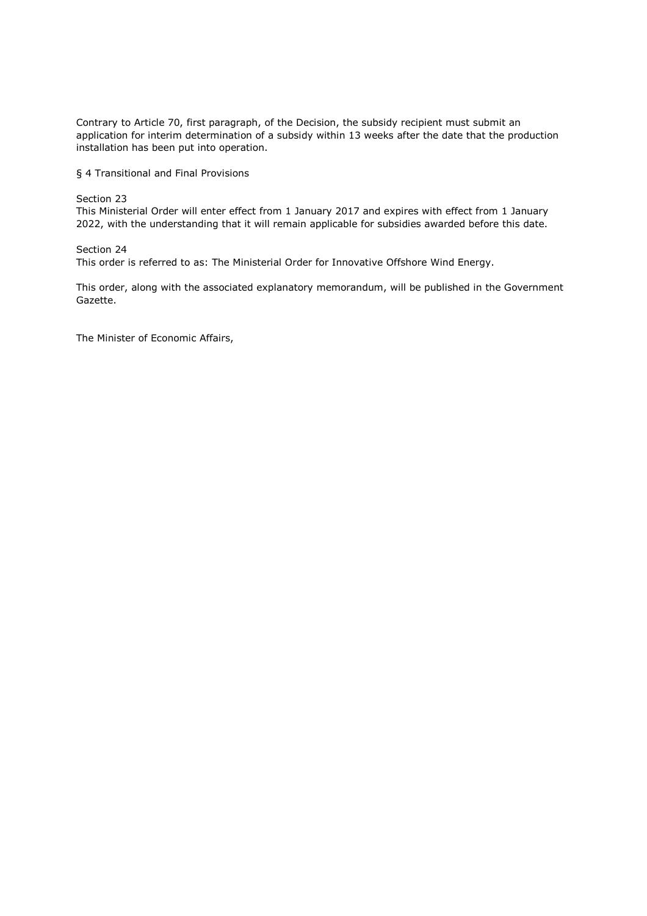Contrary to Article 70, first paragraph, of the Decision, the subsidy recipient must submit an application for interim determination of a subsidy within 13 weeks after the date that the production installation has been put into operation.

§ 4 Transitional and Final Provisions

Section 23

This Ministerial Order will enter effect from 1 January 2017 and expires with effect from 1 January 2022, with the understanding that it will remain applicable for subsidies awarded before this date.

Section 24

This order is referred to as: The Ministerial Order for Innovative Offshore Wind Energy.

This order, along with the associated explanatory memorandum, will be published in the Government Gazette.

The Minister of Economic Affairs,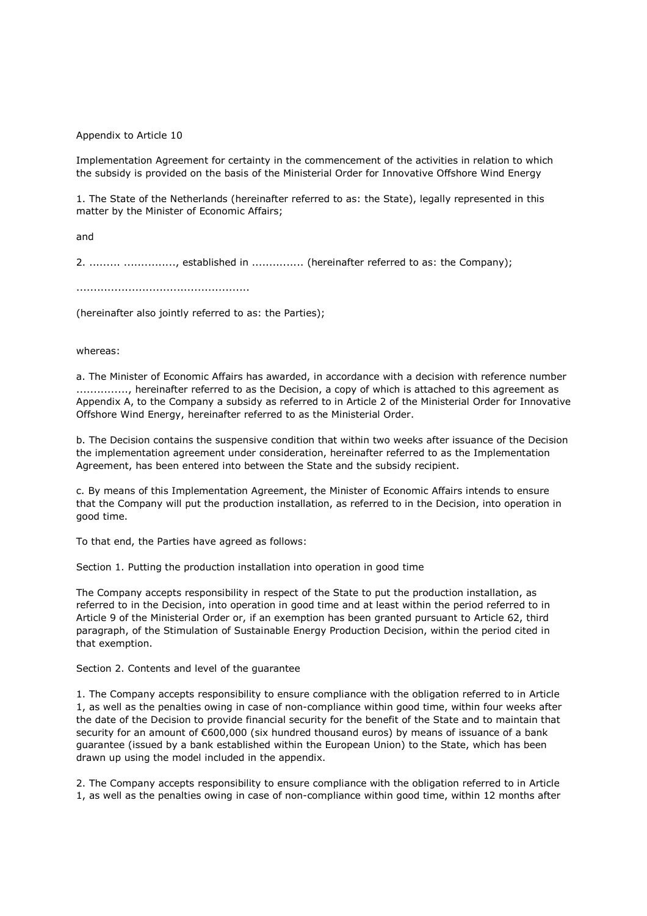Appendix to Article 10

Implementation Agreement for certainty in the commencement of the activities in relation to which the subsidy is provided on the basis of the Ministerial Order for Innovative Offshore Wind Energy

1. The State of the Netherlands (hereinafter referred to as: the State), legally represented in this matter by the Minister of Economic Affairs;

and

2. ......... .............., established in ................ (hereinafter referred to as: the Company);

..................................................

(hereinafter also jointly referred to as: the Parties);

whereas:

a. The Minister of Economic Affairs has awarded, in accordance with a decision with reference number ..............., hereinafter referred to as the Decision, a copy of which is attached to this agreement as Appendix A, to the Company a subsidy as referred to in Article 2 of the Ministerial Order for Innovative Offshore Wind Energy, hereinafter referred to as the Ministerial Order.

b. The Decision contains the suspensive condition that within two weeks after issuance of the Decision the implementation agreement under consideration, hereinafter referred to as the Implementation Agreement, has been entered into between the State and the subsidy recipient.

c. By means of this Implementation Agreement, the Minister of Economic Affairs intends to ensure that the Company will put the production installation, as referred to in the Decision, into operation in good time.

To that end, the Parties have agreed as follows:

Section 1. Putting the production installation into operation in good time

The Company accepts responsibility in respect of the State to put the production installation, as referred to in the Decision, into operation in good time and at least within the period referred to in Article 9 of the Ministerial Order or, if an exemption has been granted pursuant to Article 62, third paragraph, of the Stimulation of Sustainable Energy Production Decision, within the period cited in that exemption.

Section 2. Contents and level of the guarantee

1. The Company accepts responsibility to ensure compliance with the obligation referred to in Article 1, as well as the penalties owing in case of non-compliance within good time, within four weeks after the date of the Decision to provide financial security for the benefit of the State and to maintain that security for an amount of €600,000 (six hundred thousand euros) by means of issuance of a bank guarantee (issued by a bank established within the European Union) to the State, which has been drawn up using the model included in the appendix.

2. The Company accepts responsibility to ensure compliance with the obligation referred to in Article 1, as well as the penalties owing in case of non-compliance within good time, within 12 months after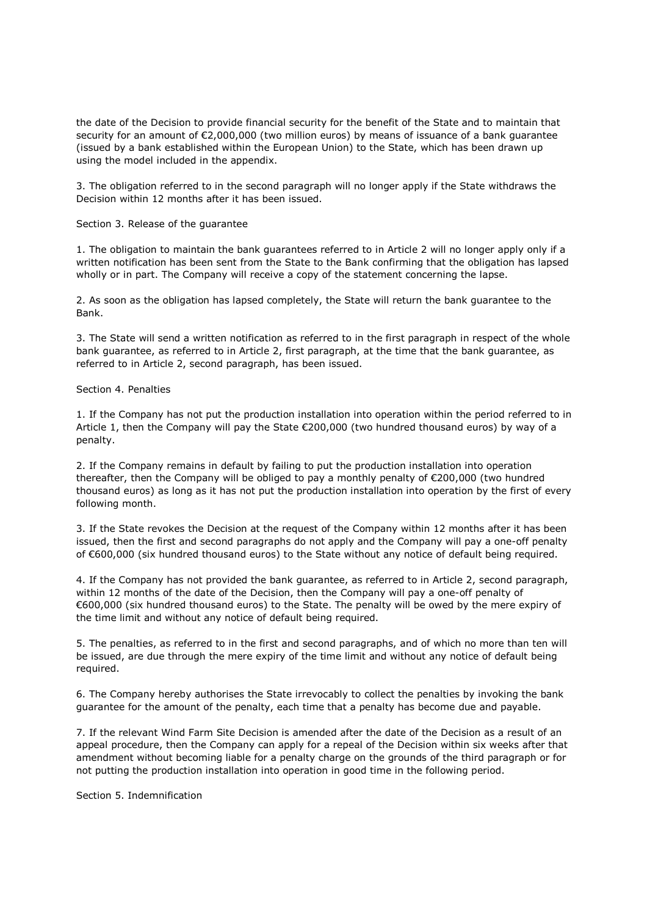the date of the Decision to provide financial security for the benefit of the State and to maintain that security for an amount of €2,000,000 (two million euros) by means of issuance of a bank guarantee (issued by a bank established within the European Union) to the State, which has been drawn up using the model included in the appendix.

3. The obligation referred to in the second paragraph will no longer apply if the State withdraws the Decision within 12 months after it has been issued.

Section 3. Release of the guarantee

1. The obligation to maintain the bank guarantees referred to in Article 2 will no longer apply only if a written notification has been sent from the State to the Bank confirming that the obligation has lapsed wholly or in part. The Company will receive a copy of the statement concerning the lapse.

2. As soon as the obligation has lapsed completely, the State will return the bank guarantee to the Bank.

3. The State will send a written notification as referred to in the first paragraph in respect of the whole bank guarantee, as referred to in Article 2, first paragraph, at the time that the bank guarantee, as referred to in Article 2, second paragraph, has been issued.

# Section 4. Penalties

1. If the Company has not put the production installation into operation within the period referred to in Article 1, then the Company will pay the State €200,000 (two hundred thousand euros) by way of a penalty.

2. If the Company remains in default by failing to put the production installation into operation thereafter, then the Company will be obliged to pay a monthly penalty of €200,000 (two hundred thousand euros) as long as it has not put the production installation into operation by the first of every following month.

3. If the State revokes the Decision at the request of the Company within 12 months after it has been issued, then the first and second paragraphs do not apply and the Company will pay a one-off penalty of €600,000 (six hundred thousand euros) to the State without any notice of default being required.

4. If the Company has not provided the bank guarantee, as referred to in Article 2, second paragraph, within 12 months of the date of the Decision, then the Company will pay a one-off penalty of €600,000 (six hundred thousand euros) to the State. The penalty will be owed by the mere expiry of the time limit and without any notice of default being required.

5. The penalties, as referred to in the first and second paragraphs, and of which no more than ten will be issued, are due through the mere expiry of the time limit and without any notice of default being required.

6. The Company hereby authorises the State irrevocably to collect the penalties by invoking the bank guarantee for the amount of the penalty, each time that a penalty has become due and payable.

7. If the relevant Wind Farm Site Decision is amended after the date of the Decision as a result of an appeal procedure, then the Company can apply for a repeal of the Decision within six weeks after that amendment without becoming liable for a penalty charge on the grounds of the third paragraph or for not putting the production installation into operation in good time in the following period.

Section 5. Indemnification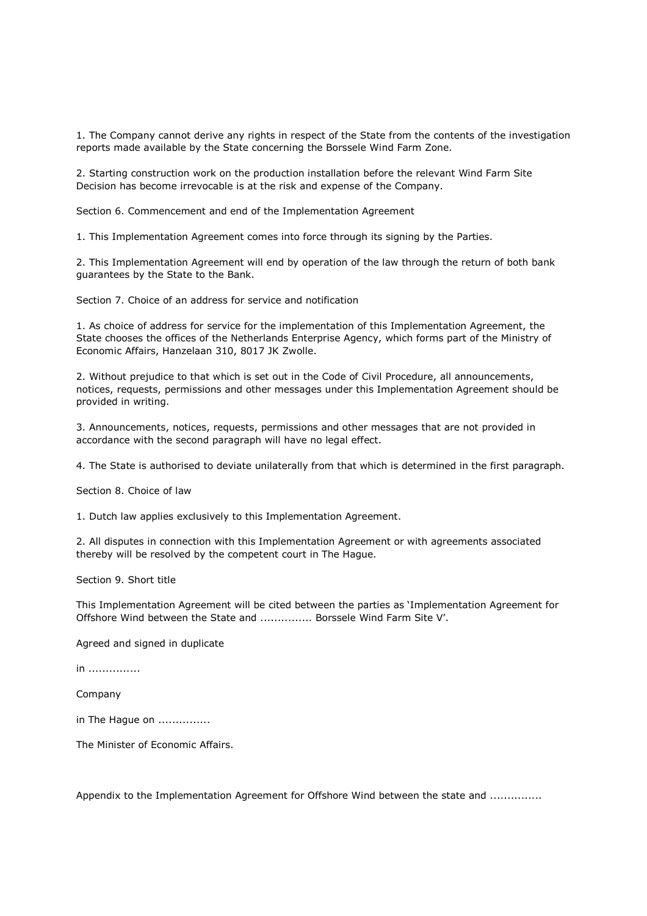1. The Company cannot derive any rights in respect of the State from the contents of the investigation reports made available by the State concerning the Borssele Wind Farm Zone.

2. Starting construction work on the production installation before the relevant Wind Farm Site Decision has become irrevocable is at the risk and expense of the Company.

Section 6. Commencement and end of the Implementation Agreement

1. This Implementation Agreement comes into force through its signing by the Parties.

2. This Implementation Agreement will end by operation of the law through the return of both bank guarantees by the State to the Bank.

Section 7. Choice of an address for service and notification

1. As choice of address for service for the implementation of this Implementation Agreement, the State chooses the offices of the Netherlands Enterprise Agency, which forms part of the Ministry of Economic Affairs, Hanzelaan 310, 8017 JK Zwolle.

2. Without prejudice to that which is set out in the Code of Civil Procedure, all announcements, notices, requests, permissions and other messages under this Implementation Agreement should be provided in writing.

3. Announcements, notices, requests, permissions and other messages that are not provided in accordance with the second paragraph will have no legal effect.

4. The State is authorised to deviate unilaterally from that which is determined in the first paragraph.

Section 8. Choice of law

1. Dutch law applies exclusively to this Implementation Agreement.

2. All disputes in connection with this Implementation Agreement or with agreements associated thereby will be resolved by the competent court in The Hague.

Section 9. Short title

This Implementation Agreement will be cited between the parties as 'Implementation Agreement for Offshore Wind between the State and ............... Borssele Wind Farm Site V'.

Agreed and signed in duplicate

in ...............

Company

in The Hague on ...............

The Minister of Economic Affairs.

Appendix to the Implementation Agreement for Offshore Wind between the state and ...............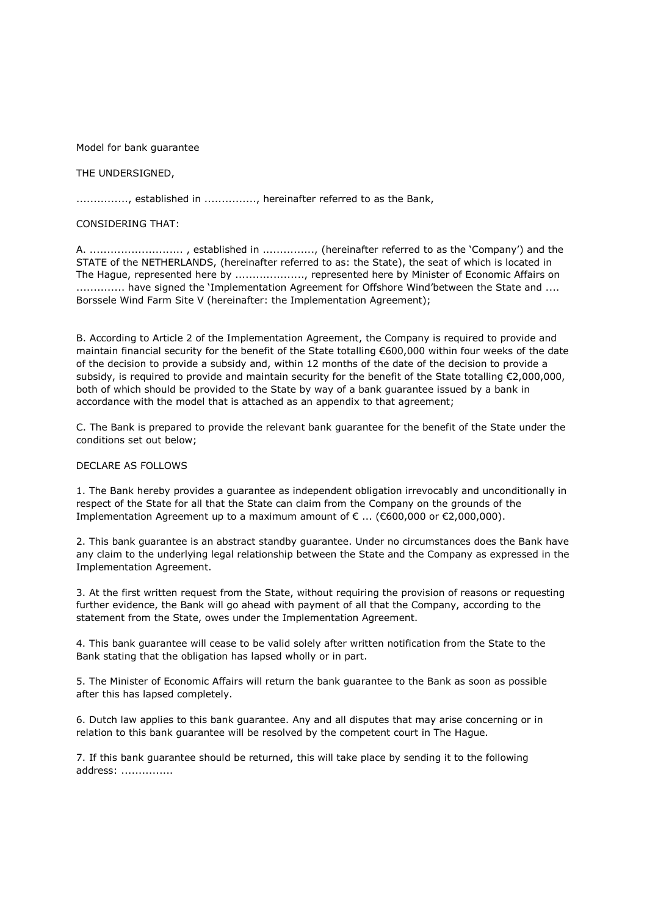Model for bank guarantee

# THE UNDERSIGNED,

.............., established in .............., hereinafter referred to as the Bank,

# CONSIDERING THAT:

A. ........................... , established in ..............., (hereinafter referred to as the 'Company') and the STATE of the NETHERLANDS, (hereinafter referred to as: the State), the seat of which is located in The Hague, represented here by ...................., represented here by Minister of Economic Affairs on .............. have signed the 'Implementation Agreement for Offshore Wind'between the State and .... Borssele Wind Farm Site V (hereinafter: the Implementation Agreement);

B. According to Article 2 of the Implementation Agreement, the Company is required to provide and maintain financial security for the benefit of the State totalling €600,000 within four weeks of the date of the decision to provide a subsidy and, within 12 months of the date of the decision to provide a subsidy, is required to provide and maintain security for the benefit of the State totalling €2,000,000, both of which should be provided to the State by way of a bank guarantee issued by a bank in accordance with the model that is attached as an appendix to that agreement;

C. The Bank is prepared to provide the relevant bank guarantee for the benefit of the State under the conditions set out below;

## DECLARE AS FOLLOWS

1. The Bank hereby provides a guarantee as independent obligation irrevocably and unconditionally in respect of the State for all that the State can claim from the Company on the grounds of the Implementation Agreement up to a maximum amount of  $\epsilon$  ... ( $\epsilon$ 600,000 or  $\epsilon$ 2,000,000).

2. This bank guarantee is an abstract standby guarantee. Under no circumstances does the Bank have any claim to the underlying legal relationship between the State and the Company as expressed in the Implementation Agreement.

3. At the first written request from the State, without requiring the provision of reasons or requesting further evidence, the Bank will go ahead with payment of all that the Company, according to the statement from the State, owes under the Implementation Agreement.

4. This bank guarantee will cease to be valid solely after written notification from the State to the Bank stating that the obligation has lapsed wholly or in part.

5. The Minister of Economic Affairs will return the bank guarantee to the Bank as soon as possible after this has lapsed completely.

6. Dutch law applies to this bank guarantee. Any and all disputes that may arise concerning or in relation to this bank guarantee will be resolved by the competent court in The Hague.

7. If this bank guarantee should be returned, this will take place by sending it to the following address: ...............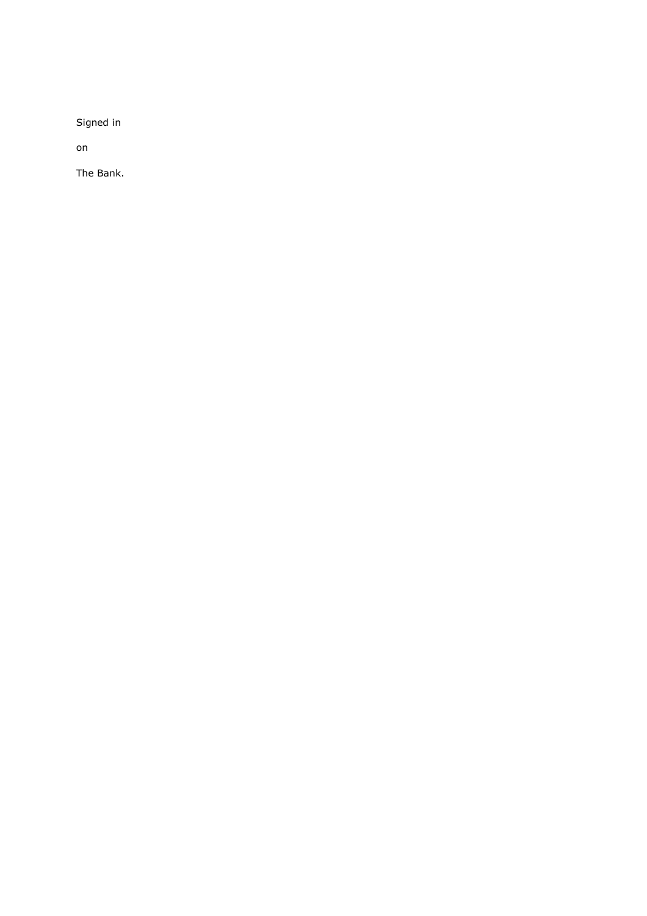Signed in

on

The Bank.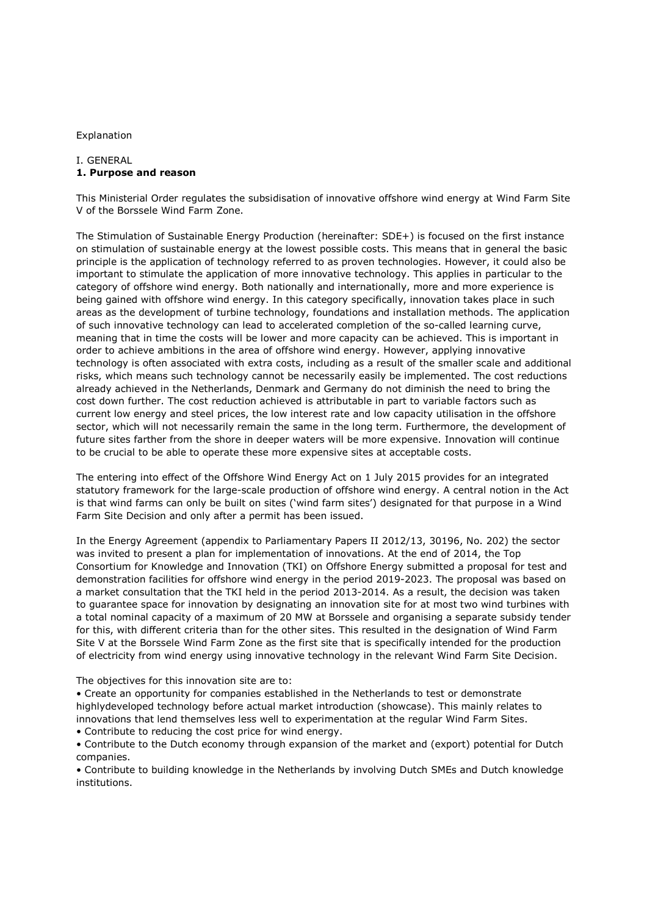#### Explanation

# I. GENERAL **1. Purpose and reason**

This Ministerial Order regulates the subsidisation of innovative offshore wind energy at Wind Farm Site V of the Borssele Wind Farm Zone.

The Stimulation of Sustainable Energy Production (hereinafter: SDE+) is focused on the first instance on stimulation of sustainable energy at the lowest possible costs. This means that in general the basic principle is the application of technology referred to as proven technologies. However, it could also be important to stimulate the application of more innovative technology. This applies in particular to the category of offshore wind energy. Both nationally and internationally, more and more experience is being gained with offshore wind energy. In this category specifically, innovation takes place in such areas as the development of turbine technology, foundations and installation methods. The application of such innovative technology can lead to accelerated completion of the so-called learning curve, meaning that in time the costs will be lower and more capacity can be achieved. This is important in order to achieve ambitions in the area of offshore wind energy. However, applying innovative technology is often associated with extra costs, including as a result of the smaller scale and additional risks, which means such technology cannot be necessarily easily be implemented. The cost reductions already achieved in the Netherlands, Denmark and Germany do not diminish the need to bring the cost down further. The cost reduction achieved is attributable in part to variable factors such as current low energy and steel prices, the low interest rate and low capacity utilisation in the offshore sector, which will not necessarily remain the same in the long term. Furthermore, the development of future sites farther from the shore in deeper waters will be more expensive. Innovation will continue to be crucial to be able to operate these more expensive sites at acceptable costs.

The entering into effect of the Offshore Wind Energy Act on 1 July 2015 provides for an integrated statutory framework for the large-scale production of offshore wind energy. A central notion in the Act is that wind farms can only be built on sites ('wind farm sites') designated for that purpose in a Wind Farm Site Decision and only after a permit has been issued.

In the Energy Agreement (appendix to Parliamentary Papers II 2012/13, 30196, No. 202) the sector was invited to present a plan for implementation of innovations. At the end of 2014, the Top Consortium for Knowledge and Innovation (TKI) on Offshore Energy submitted a proposal for test and demonstration facilities for offshore wind energy in the period 2019-2023. The proposal was based on a market consultation that the TKI held in the period 2013-2014. As a result, the decision was taken to guarantee space for innovation by designating an innovation site for at most two wind turbines with a total nominal capacity of a maximum of 20 MW at Borssele and organising a separate subsidy tender for this, with different criteria than for the other sites. This resulted in the designation of Wind Farm Site V at the Borssele Wind Farm Zone as the first site that is specifically intended for the production of electricity from wind energy using innovative technology in the relevant Wind Farm Site Decision.

The objectives for this innovation site are to:

• Create an opportunity for companies established in the Netherlands to test or demonstrate highlydeveloped technology before actual market introduction (showcase). This mainly relates to innovations that lend themselves less well to experimentation at the regular Wind Farm Sites.

- Contribute to reducing the cost price for wind energy.
- Contribute to the Dutch economy through expansion of the market and (export) potential for Dutch companies.

• Contribute to building knowledge in the Netherlands by involving Dutch SMEs and Dutch knowledge institutions.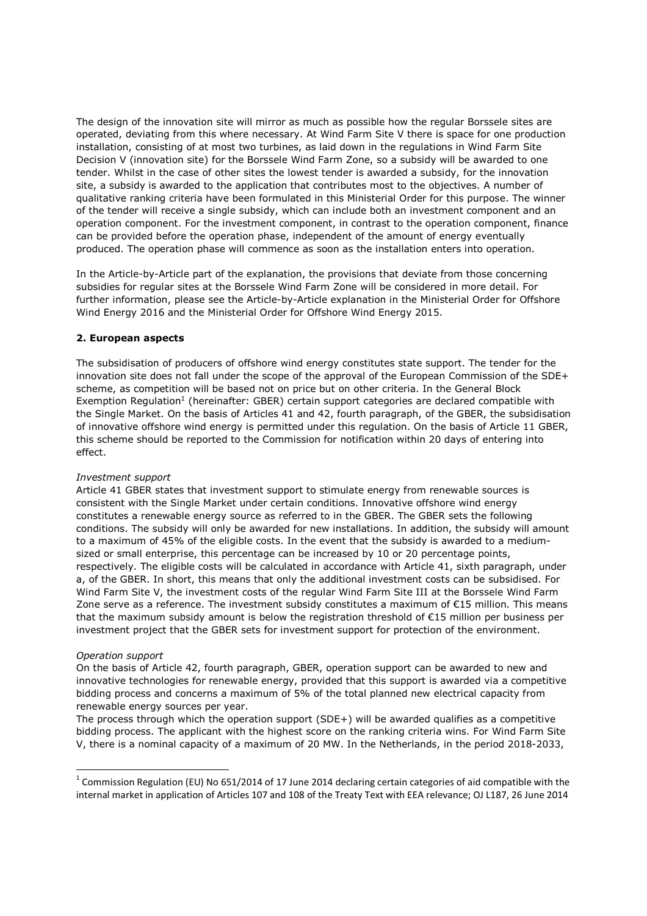The design of the innovation site will mirror as much as possible how the regular Borssele sites are operated, deviating from this where necessary. At Wind Farm Site V there is space for one production installation, consisting of at most two turbines, as laid down in the regulations in Wind Farm Site Decision V (innovation site) for the Borssele Wind Farm Zone, so a subsidy will be awarded to one tender. Whilst in the case of other sites the lowest tender is awarded a subsidy, for the innovation site, a subsidy is awarded to the application that contributes most to the objectives. A number of qualitative ranking criteria have been formulated in this Ministerial Order for this purpose. The winner of the tender will receive a single subsidy, which can include both an investment component and an operation component. For the investment component, in contrast to the operation component, finance can be provided before the operation phase, independent of the amount of energy eventually produced. The operation phase will commence as soon as the installation enters into operation.

In the Article-by-Article part of the explanation, the provisions that deviate from those concerning subsidies for regular sites at the Borssele Wind Farm Zone will be considered in more detail. For further information, please see the Article-by-Article explanation in the Ministerial Order for Offshore Wind Energy 2016 and the Ministerial Order for Offshore Wind Energy 2015.

# **2. European aspects**

The subsidisation of producers of offshore wind energy constitutes state support. The tender for the innovation site does not fall under the scope of the approval of the European Commission of the SDE+ scheme, as competition will be based not on price but on other criteria. In the General Block Exemption Regulation<sup>1</sup> (hereinafter: GBER) certain support categories are declared compatible with the Single Market. On the basis of Articles 41 and 42, fourth paragraph, of the GBER, the subsidisation of innovative offshore wind energy is permitted under this regulation. On the basis of Article 11 GBER, this scheme should be reported to the Commission for notification within 20 days of entering into effect.

### *Investment support*

Article 41 GBER states that investment support to stimulate energy from renewable sources is consistent with the Single Market under certain conditions. Innovative offshore wind energy constitutes a renewable energy source as referred to in the GBER. The GBER sets the following conditions. The subsidy will only be awarded for new installations. In addition, the subsidy will amount to a maximum of 45% of the eligible costs. In the event that the subsidy is awarded to a mediumsized or small enterprise, this percentage can be increased by 10 or 20 percentage points, respectively. The eligible costs will be calculated in accordance with Article 41, sixth paragraph, under a, of the GBER. In short, this means that only the additional investment costs can be subsidised. For Wind Farm Site V, the investment costs of the regular Wind Farm Site III at the Borssele Wind Farm Zone serve as a reference. The investment subsidy constitutes a maximum of €15 million. This means that the maximum subsidy amount is below the registration threshold of €15 million per business per investment project that the GBER sets for investment support for protection of the environment.

### *Operation support*

<u>.</u>

On the basis of Article 42, fourth paragraph, GBER, operation support can be awarded to new and innovative technologies for renewable energy, provided that this support is awarded via a competitive bidding process and concerns a maximum of 5% of the total planned new electrical capacity from renewable energy sources per year.

The process through which the operation support (SDE+) will be awarded qualifies as a competitive bidding process. The applicant with the highest score on the ranking criteria wins. For Wind Farm Site V, there is a nominal capacity of a maximum of 20 MW. In the Netherlands, in the period 2018-2033,

<sup>&</sup>lt;sup>1</sup> Commission Regulation (EU) No 651/2014 of 17 June 2014 declaring certain categories of aid compatible with the internal market in application of Articles 107 and 108 of the Treaty Text with EEA relevance; OJ L187, 26 June 2014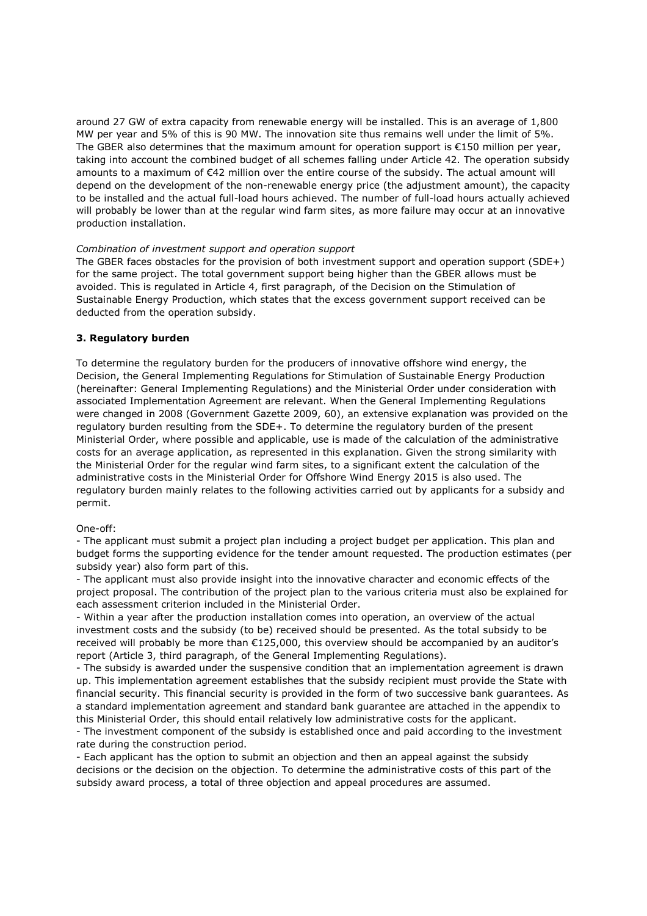around 27 GW of extra capacity from renewable energy will be installed. This is an average of 1,800 MW per year and 5% of this is 90 MW. The innovation site thus remains well under the limit of 5%. The GBER also determines that the maximum amount for operation support is  $€150$  million per year, taking into account the combined budget of all schemes falling under Article 42. The operation subsidy amounts to a maximum of €42 million over the entire course of the subsidy. The actual amount will depend on the development of the non-renewable energy price (the adjustment amount), the capacity to be installed and the actual full-load hours achieved. The number of full-load hours actually achieved will probably be lower than at the regular wind farm sites, as more failure may occur at an innovative production installation.

# *Combination of investment support and operation support*

The GBER faces obstacles for the provision of both investment support and operation support (SDE+) for the same project. The total government support being higher than the GBER allows must be avoided. This is regulated in Article 4, first paragraph, of the Decision on the Stimulation of Sustainable Energy Production, which states that the excess government support received can be deducted from the operation subsidy.

# **3. Regulatory burden**

To determine the regulatory burden for the producers of innovative offshore wind energy, the Decision, the General Implementing Regulations for Stimulation of Sustainable Energy Production (hereinafter: General Implementing Regulations) and the Ministerial Order under consideration with associated Implementation Agreement are relevant. When the General Implementing Regulations were changed in 2008 (Government Gazette 2009, 60), an extensive explanation was provided on the regulatory burden resulting from the SDE+. To determine the regulatory burden of the present Ministerial Order, where possible and applicable, use is made of the calculation of the administrative costs for an average application, as represented in this explanation. Given the strong similarity with the Ministerial Order for the regular wind farm sites, to a significant extent the calculation of the administrative costs in the Ministerial Order for Offshore Wind Energy 2015 is also used. The regulatory burden mainly relates to the following activities carried out by applicants for a subsidy and permit.

# One-off:

- The applicant must submit a project plan including a project budget per application. This plan and budget forms the supporting evidence for the tender amount requested. The production estimates (per subsidy year) also form part of this.

- The applicant must also provide insight into the innovative character and economic effects of the project proposal. The contribution of the project plan to the various criteria must also be explained for each assessment criterion included in the Ministerial Order.

- Within a year after the production installation comes into operation, an overview of the actual investment costs and the subsidy (to be) received should be presented. As the total subsidy to be received will probably be more than €125,000, this overview should be accompanied by an auditor's report (Article 3, third paragraph, of the General Implementing Regulations).

- The subsidy is awarded under the suspensive condition that an implementation agreement is drawn up. This implementation agreement establishes that the subsidy recipient must provide the State with financial security. This financial security is provided in the form of two successive bank guarantees. As a standard implementation agreement and standard bank guarantee are attached in the appendix to this Ministerial Order, this should entail relatively low administrative costs for the applicant.

- The investment component of the subsidy is established once and paid according to the investment rate during the construction period.

- Each applicant has the option to submit an objection and then an appeal against the subsidy decisions or the decision on the objection. To determine the administrative costs of this part of the subsidy award process, a total of three objection and appeal procedures are assumed.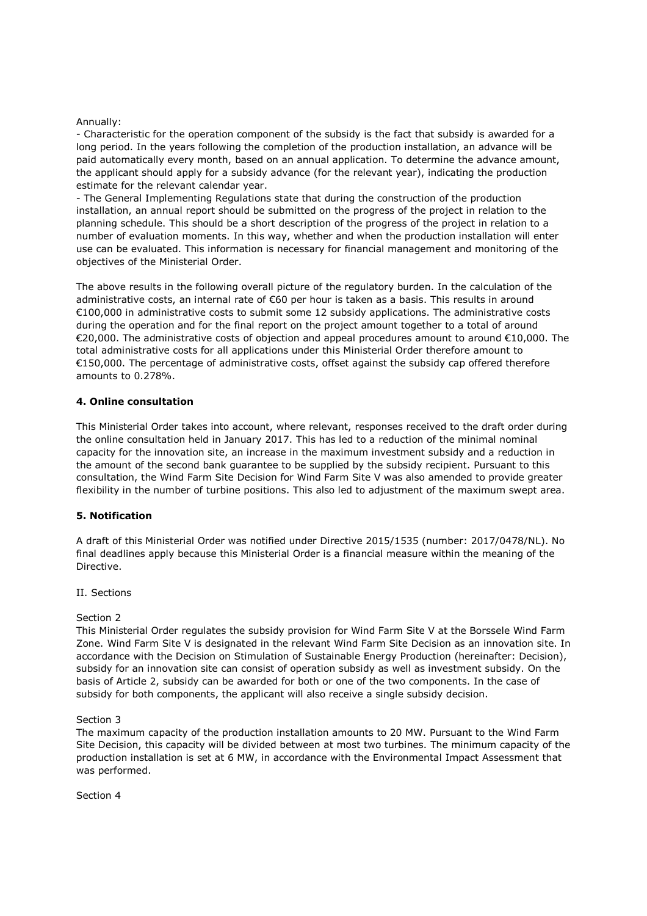# Annually:

- Characteristic for the operation component of the subsidy is the fact that subsidy is awarded for a long period. In the years following the completion of the production installation, an advance will be paid automatically every month, based on an annual application. To determine the advance amount, the applicant should apply for a subsidy advance (for the relevant year), indicating the production estimate for the relevant calendar year.

- The General Implementing Regulations state that during the construction of the production installation, an annual report should be submitted on the progress of the project in relation to the planning schedule. This should be a short description of the progress of the project in relation to a number of evaluation moments. In this way, whether and when the production installation will enter use can be evaluated. This information is necessary for financial management and monitoring of the objectives of the Ministerial Order.

The above results in the following overall picture of the regulatory burden. In the calculation of the administrative costs, an internal rate of €60 per hour is taken as a basis. This results in around €100,000 in administrative costs to submit some 12 subsidy applications. The administrative costs during the operation and for the final report on the project amount together to a total of around €20,000. The administrative costs of objection and appeal procedures amount to around €10,000. The total administrative costs for all applications under this Ministerial Order therefore amount to €150,000. The percentage of administrative costs, offset against the subsidy cap offered therefore amounts to 0.278%.

# **4. Online consultation**

This Ministerial Order takes into account, where relevant, responses received to the draft order during the online consultation held in January 2017. This has led to a reduction of the minimal nominal capacity for the innovation site, an increase in the maximum investment subsidy and a reduction in the amount of the second bank guarantee to be supplied by the subsidy recipient. Pursuant to this consultation, the Wind Farm Site Decision for Wind Farm Site V was also amended to provide greater flexibility in the number of turbine positions. This also led to adjustment of the maximum swept area.

# **5. Notification**

A draft of this Ministerial Order was notified under Directive 2015/1535 (number: 2017/0478/NL). No final deadlines apply because this Ministerial Order is a financial measure within the meaning of the Directive.

# II. Sections

## Section 2

This Ministerial Order regulates the subsidy provision for Wind Farm Site V at the Borssele Wind Farm Zone. Wind Farm Site V is designated in the relevant Wind Farm Site Decision as an innovation site. In accordance with the Decision on Stimulation of Sustainable Energy Production (hereinafter: Decision), subsidy for an innovation site can consist of operation subsidy as well as investment subsidy. On the basis of Article 2, subsidy can be awarded for both or one of the two components. In the case of subsidy for both components, the applicant will also receive a single subsidy decision.

### Section 3

The maximum capacity of the production installation amounts to 20 MW. Pursuant to the Wind Farm Site Decision, this capacity will be divided between at most two turbines. The minimum capacity of the production installation is set at 6 MW, in accordance with the Environmental Impact Assessment that was performed.

Section 4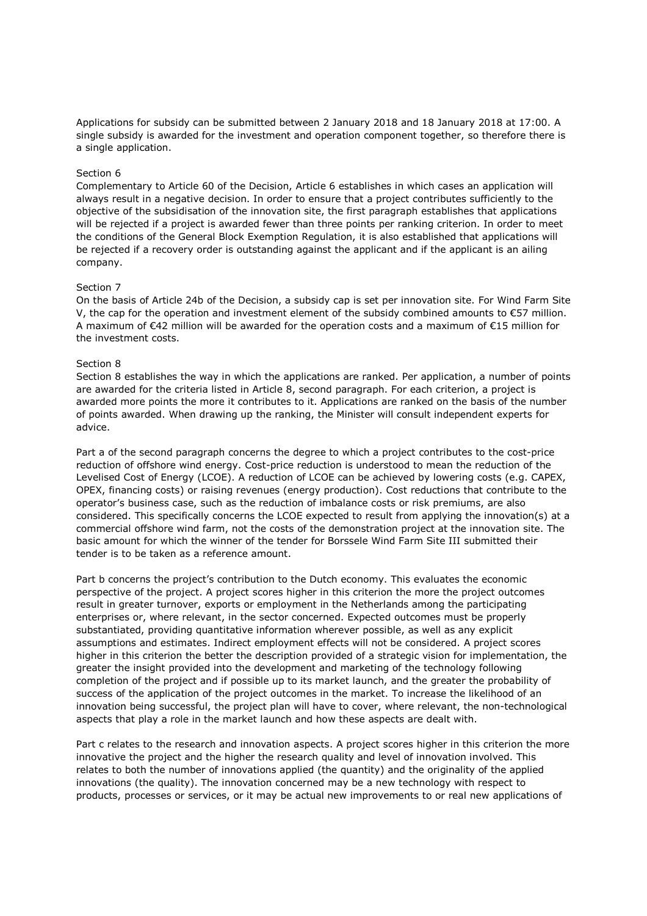Applications for subsidy can be submitted between 2 January 2018 and 18 January 2018 at 17:00. A single subsidy is awarded for the investment and operation component together, so therefore there is a single application.

#### Section 6

Complementary to Article 60 of the Decision, Article 6 establishes in which cases an application will always result in a negative decision. In order to ensure that a project contributes sufficiently to the objective of the subsidisation of the innovation site, the first paragraph establishes that applications will be rejected if a project is awarded fewer than three points per ranking criterion. In order to meet the conditions of the General Block Exemption Regulation, it is also established that applications will be rejected if a recovery order is outstanding against the applicant and if the applicant is an ailing company.

#### Section 7

On the basis of Article 24b of the Decision, a subsidy cap is set per innovation site. For Wind Farm Site V, the cap for the operation and investment element of the subsidy combined amounts to  $\epsilon$ 57 million. A maximum of €42 million will be awarded for the operation costs and a maximum of €15 million for the investment costs.

# Section 8

Section 8 establishes the way in which the applications are ranked. Per application, a number of points are awarded for the criteria listed in Article 8, second paragraph. For each criterion, a project is awarded more points the more it contributes to it. Applications are ranked on the basis of the number of points awarded. When drawing up the ranking, the Minister will consult independent experts for advice.

Part a of the second paragraph concerns the degree to which a project contributes to the cost-price reduction of offshore wind energy. Cost-price reduction is understood to mean the reduction of the Levelised Cost of Energy (LCOE). A reduction of LCOE can be achieved by lowering costs (e.g. CAPEX, OPEX, financing costs) or raising revenues (energy production). Cost reductions that contribute to the operator's business case, such as the reduction of imbalance costs or risk premiums, are also considered. This specifically concerns the LCOE expected to result from applying the innovation(s) at a commercial offshore wind farm, not the costs of the demonstration project at the innovation site. The basic amount for which the winner of the tender for Borssele Wind Farm Site III submitted their tender is to be taken as a reference amount.

Part b concerns the project's contribution to the Dutch economy. This evaluates the economic perspective of the project. A project scores higher in this criterion the more the project outcomes result in greater turnover, exports or employment in the Netherlands among the participating enterprises or, where relevant, in the sector concerned. Expected outcomes must be properly substantiated, providing quantitative information wherever possible, as well as any explicit assumptions and estimates. Indirect employment effects will not be considered. A project scores higher in this criterion the better the description provided of a strategic vision for implementation, the greater the insight provided into the development and marketing of the technology following completion of the project and if possible up to its market launch, and the greater the probability of success of the application of the project outcomes in the market. To increase the likelihood of an innovation being successful, the project plan will have to cover, where relevant, the non-technological aspects that play a role in the market launch and how these aspects are dealt with.

Part c relates to the research and innovation aspects. A project scores higher in this criterion the more innovative the project and the higher the research quality and level of innovation involved. This relates to both the number of innovations applied (the quantity) and the originality of the applied innovations (the quality). The innovation concerned may be a new technology with respect to products, processes or services, or it may be actual new improvements to or real new applications of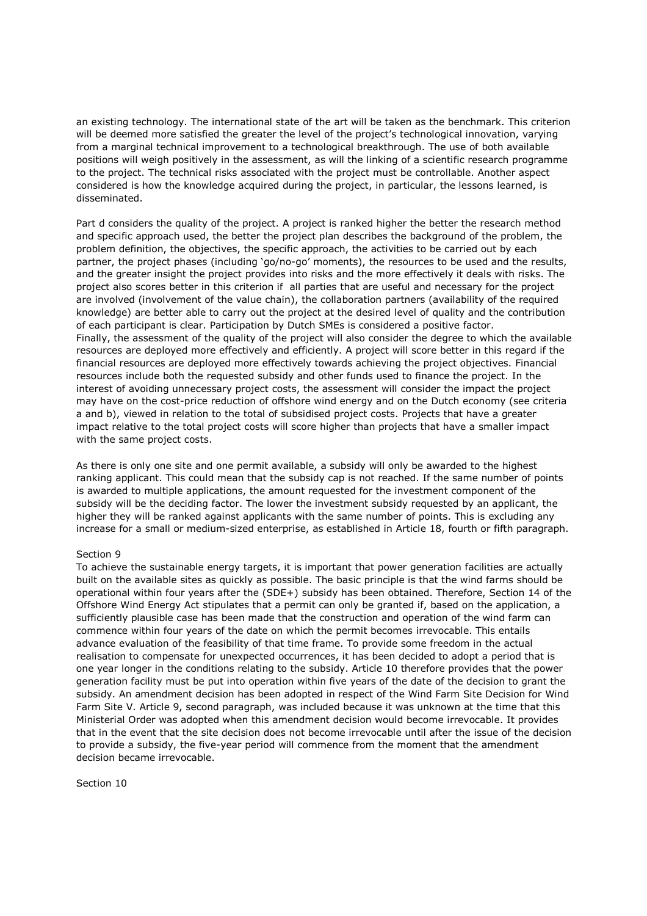an existing technology. The international state of the art will be taken as the benchmark. This criterion will be deemed more satisfied the greater the level of the project's technological innovation, varying from a marginal technical improvement to a technological breakthrough. The use of both available positions will weigh positively in the assessment, as will the linking of a scientific research programme to the project. The technical risks associated with the project must be controllable. Another aspect considered is how the knowledge acquired during the project, in particular, the lessons learned, is disseminated.

Part d considers the quality of the project. A project is ranked higher the better the research method and specific approach used, the better the project plan describes the background of the problem, the problem definition, the objectives, the specific approach, the activities to be carried out by each partner, the project phases (including 'go/no-go' moments), the resources to be used and the results, and the greater insight the project provides into risks and the more effectively it deals with risks. The project also scores better in this criterion if all parties that are useful and necessary for the project are involved (involvement of the value chain), the collaboration partners (availability of the required knowledge) are better able to carry out the project at the desired level of quality and the contribution of each participant is clear. Participation by Dutch SMEs is considered a positive factor. Finally, the assessment of the quality of the project will also consider the degree to which the available resources are deployed more effectively and efficiently. A project will score better in this regard if the financial resources are deployed more effectively towards achieving the project objectives. Financial resources include both the requested subsidy and other funds used to finance the project. In the interest of avoiding unnecessary project costs, the assessment will consider the impact the project may have on the cost-price reduction of offshore wind energy and on the Dutch economy (see criteria a and b), viewed in relation to the total of subsidised project costs. Projects that have a greater impact relative to the total project costs will score higher than projects that have a smaller impact with the same project costs.

As there is only one site and one permit available, a subsidy will only be awarded to the highest ranking applicant. This could mean that the subsidy cap is not reached. If the same number of points is awarded to multiple applications, the amount requested for the investment component of the subsidy will be the deciding factor. The lower the investment subsidy requested by an applicant, the higher they will be ranked against applicants with the same number of points. This is excluding any increase for a small or medium-sized enterprise, as established in Article 18, fourth or fifth paragraph.

### Section 9

To achieve the sustainable energy targets, it is important that power generation facilities are actually built on the available sites as quickly as possible. The basic principle is that the wind farms should be operational within four years after the (SDE+) subsidy has been obtained. Therefore, Section 14 of the Offshore Wind Energy Act stipulates that a permit can only be granted if, based on the application, a sufficiently plausible case has been made that the construction and operation of the wind farm can commence within four years of the date on which the permit becomes irrevocable. This entails advance evaluation of the feasibility of that time frame. To provide some freedom in the actual realisation to compensate for unexpected occurrences, it has been decided to adopt a period that is one year longer in the conditions relating to the subsidy. Article 10 therefore provides that the power generation facility must be put into operation within five years of the date of the decision to grant the subsidy. An amendment decision has been adopted in respect of the Wind Farm Site Decision for Wind Farm Site V. Article 9, second paragraph, was included because it was unknown at the time that this Ministerial Order was adopted when this amendment decision would become irrevocable. It provides that in the event that the site decision does not become irrevocable until after the issue of the decision to provide a subsidy, the five-year period will commence from the moment that the amendment decision became irrevocable.

Section 10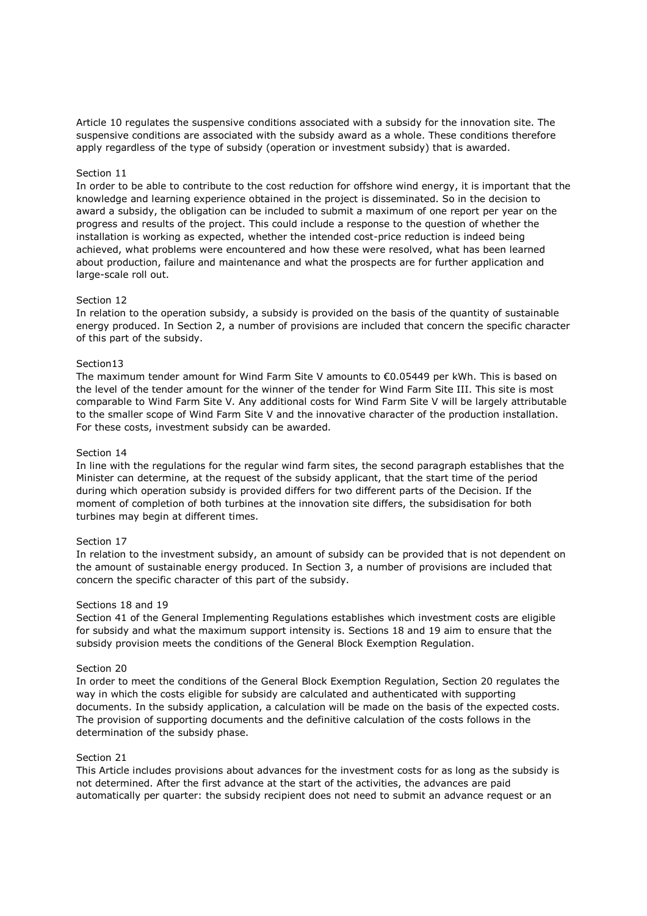Article 10 regulates the suspensive conditions associated with a subsidy for the innovation site. The suspensive conditions are associated with the subsidy award as a whole. These conditions therefore apply regardless of the type of subsidy (operation or investment subsidy) that is awarded.

## Section 11

In order to be able to contribute to the cost reduction for offshore wind energy, it is important that the knowledge and learning experience obtained in the project is disseminated. So in the decision to award a subsidy, the obligation can be included to submit a maximum of one report per year on the progress and results of the project. This could include a response to the question of whether the installation is working as expected, whether the intended cost-price reduction is indeed being achieved, what problems were encountered and how these were resolved, what has been learned about production, failure and maintenance and what the prospects are for further application and large-scale roll out.

### Section 12

In relation to the operation subsidy, a subsidy is provided on the basis of the quantity of sustainable energy produced. In Section 2, a number of provisions are included that concern the specific character of this part of the subsidy.

# Section13

The maximum tender amount for Wind Farm Site V amounts to €0.05449 per kWh. This is based on the level of the tender amount for the winner of the tender for Wind Farm Site III. This site is most comparable to Wind Farm Site V. Any additional costs for Wind Farm Site V will be largely attributable to the smaller scope of Wind Farm Site V and the innovative character of the production installation. For these costs, investment subsidy can be awarded.

#### Section 14

In line with the regulations for the regular wind farm sites, the second paragraph establishes that the Minister can determine, at the request of the subsidy applicant, that the start time of the period during which operation subsidy is provided differs for two different parts of the Decision. If the moment of completion of both turbines at the innovation site differs, the subsidisation for both turbines may begin at different times.

#### Section 17

In relation to the investment subsidy, an amount of subsidy can be provided that is not dependent on the amount of sustainable energy produced. In Section 3, a number of provisions are included that concern the specific character of this part of the subsidy.

#### Sections 18 and 19

Section 41 of the General Implementing Regulations establishes which investment costs are eligible for subsidy and what the maximum support intensity is. Sections 18 and 19 aim to ensure that the subsidy provision meets the conditions of the General Block Exemption Regulation.

#### Section 20

In order to meet the conditions of the General Block Exemption Regulation, Section 20 regulates the way in which the costs eligible for subsidy are calculated and authenticated with supporting documents. In the subsidy application, a calculation will be made on the basis of the expected costs. The provision of supporting documents and the definitive calculation of the costs follows in the determination of the subsidy phase.

## Section 21

This Article includes provisions about advances for the investment costs for as long as the subsidy is not determined. After the first advance at the start of the activities, the advances are paid automatically per quarter: the subsidy recipient does not need to submit an advance request or an